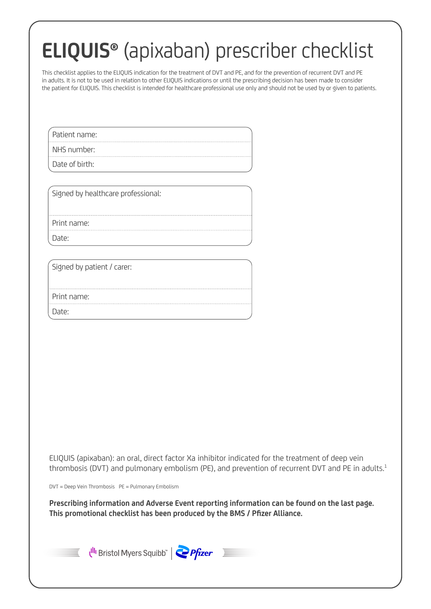# **ELIQUIS®** (apixaban) prescriber checklist

This checklist applies to the ELIQUIS indication for the treatment of DVT and PE, and for the prevention of recurrent DVT and PE in adults. It is not to be used in relation to other ELIQUIS indications or until the prescribing decision has been made to consider the patient for ELIQUIS. This checklist is intended for healthcare professional use only and should not be used by or given to patients.

Patient name:

NHS number:

Date of birth:

Signed by healthcare professional:

Print name:

Date:

Signed by patient / carer:

Print name:

Date:

ELIQUIS (apixaban): an oral, direct factor Xa inhibitor indicated for the treatment of deep vein thrombosis (DVT) and pulmonary embolism (PE), and prevention of recurrent DVT and PE in adults.<sup>1</sup>

DVT = Deep Vein Thrombosis PE = Pulmonary Embolism

**Prescribing information and Adverse Event reporting information can be found on the last page. This promotional checklist has been produced by the BMS / Pfizer Alliance.**



Ulli Bristol Myers Squibb" | Pfizer

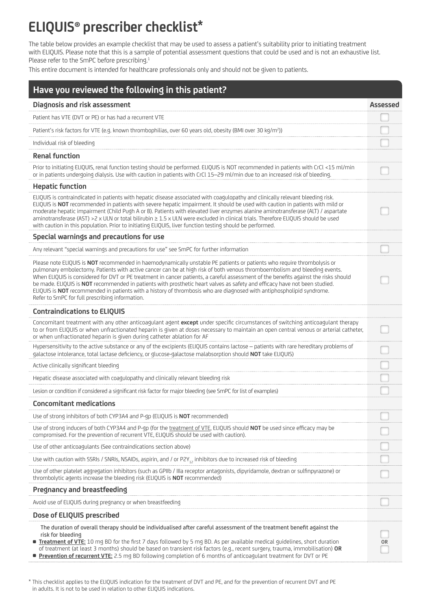## **ELIQUIS® prescriber checklist\***

The table below provides an example checklist that may be used to assess a patient's suitability prior to initiating treatment with ELIQUIS. Please note that this is a sample of potential assessment questions that could be used and is not an exhaustive list. Please refer to the SmPC before prescribing.<sup>1</sup>

This entire document is intended for healthcare professionals only and should not be given to patients.

| Have you reviewed the following in this patient?                                                                                                                                                                                                                                                                                                                                                                                                                                                                                                                                                                                                                                                        |                 |
|---------------------------------------------------------------------------------------------------------------------------------------------------------------------------------------------------------------------------------------------------------------------------------------------------------------------------------------------------------------------------------------------------------------------------------------------------------------------------------------------------------------------------------------------------------------------------------------------------------------------------------------------------------------------------------------------------------|-----------------|
| Diagnosis and risk assessment                                                                                                                                                                                                                                                                                                                                                                                                                                                                                                                                                                                                                                                                           | <b>Assessed</b> |
| Patient has VTE (DVT or PE) or has had a recurrent VTE                                                                                                                                                                                                                                                                                                                                                                                                                                                                                                                                                                                                                                                  |                 |
| Patient's risk factors for VTE (e.g. known thrombophilias, over 60 years old, obesity (BMI over 30 kg/m <sup>2</sup> ))                                                                                                                                                                                                                                                                                                                                                                                                                                                                                                                                                                                 |                 |
| Individual risk of bleeding                                                                                                                                                                                                                                                                                                                                                                                                                                                                                                                                                                                                                                                                             |                 |
| <b>Renal function</b>                                                                                                                                                                                                                                                                                                                                                                                                                                                                                                                                                                                                                                                                                   |                 |
| Prior to initiating ELIQUIS, renal function testing should be performed. ELIQUIS is NOT recommended in patients with CrCl <15 ml/min<br>or in patients undergoing dialysis. Use with caution in patients with CrCl 15-29 ml/min due to an increased risk of bleeding.                                                                                                                                                                                                                                                                                                                                                                                                                                   |                 |
| <b>Hepatic function</b>                                                                                                                                                                                                                                                                                                                                                                                                                                                                                                                                                                                                                                                                                 |                 |
| ELIQUIS is contraindicated in patients with hepatic disease associated with coagulopathy and clinically relevant bleeding risk.<br>ELIQUIS is NOT recommended in patients with severe hepatic impairment. It should be used with caution in patients with mild or<br>moderate hepatic impairment (Child Pugh A or B). Patients with elevated liver enzymes alanine aminotransferase (ALT) / aspartate<br>aminotransferase (AST) >2 x ULN or total bilirubin ≥ 1.5 x ULN were excluded in clinical trials. Therefore ELIQUIS should be used<br>with caution in this population. Prior to initiating ELIQUIS, liver function testing should be performed.                                                 |                 |
| Special warnings and precautions for use                                                                                                                                                                                                                                                                                                                                                                                                                                                                                                                                                                                                                                                                |                 |
| Any relevant "special warnings and precautions for use" see SmPC for further information                                                                                                                                                                                                                                                                                                                                                                                                                                                                                                                                                                                                                |                 |
| Please note ELIQUIS is NOT recommended in haemodynamically unstable PE patients or patients who require thrombolysis or<br>pulmonary embolectomy. Patients with active cancer can be at high risk of both venous thromboembolism and bleeding events.<br>When ELIQUIS is considered for DVT or PE treatment in cancer patients, a careful assessment of the benefits against the risks should<br>be made. ELIQUIS is NOT recommended in patients with prosthetic heart valves as safety and efficacy have not been studied.<br>ELIQUIS is NOT recommended in patients with a history of thrombosis who are diagnosed with antiphospholipid syndrome.<br>Refer to SmPC for full prescribing information. |                 |
| <b>Contraindications to ELIQUIS</b>                                                                                                                                                                                                                                                                                                                                                                                                                                                                                                                                                                                                                                                                     |                 |
| Concomitant treatment with any other anticoagulant agent except under specific circumstances of switching anticoagulant therapy<br>to or from ELIQUIS or when unfractionated heparin is given at doses necessary to maintain an open central venous or arterial catheter,<br>or when unfractionated heparin is given during catheter ablation for AF                                                                                                                                                                                                                                                                                                                                                    |                 |
| Hypersensitivity to the active substance or any of the excipients (ELIQUIS contains lactose - patients with rare hereditary problems of<br>galactose intolerance, total lactase deficiency, or glucose-galactose malabsorption should NOT take ELIQUIS)                                                                                                                                                                                                                                                                                                                                                                                                                                                 |                 |
| Active clinically significant bleeding                                                                                                                                                                                                                                                                                                                                                                                                                                                                                                                                                                                                                                                                  |                 |
| Hepatic disease associated with coagulopathy and clinically relevant bleeding risk                                                                                                                                                                                                                                                                                                                                                                                                                                                                                                                                                                                                                      |                 |
| Lesion or condition if considered a significant risk factor for major bleeding (see SmPC for list of examples)                                                                                                                                                                                                                                                                                                                                                                                                                                                                                                                                                                                          |                 |
| <b>Concomitant medications</b>                                                                                                                                                                                                                                                                                                                                                                                                                                                                                                                                                                                                                                                                          |                 |
| Use of strong inhibitors of both CYP3A4 and P-gp (ELIQUIS is NOT recommended)                                                                                                                                                                                                                                                                                                                                                                                                                                                                                                                                                                                                                           |                 |
| Use of strong inducers of both CYP3A4 and P-gp (for the treatment of VTE, ELIQUIS should NOT be used since efficacy may be<br>compromised. For the prevention of recurrent VTE, ELIOUIS should be used with caution).                                                                                                                                                                                                                                                                                                                                                                                                                                                                                   |                 |
| Use of other anticoagulants (See contraindications section above)                                                                                                                                                                                                                                                                                                                                                                                                                                                                                                                                                                                                                                       |                 |
| Use with caution with SSRIs / SNRIs, NSAIDs, aspirin, and / or P2Y <sub>12</sub> inhibitors due to increased risk of bleeding                                                                                                                                                                                                                                                                                                                                                                                                                                                                                                                                                                           |                 |
| Use of other platelet aggregation inhibitors (such as GPIIb / IIIa receptor antagonists, dipyridamole, dextran or sulfinpyrazone) or<br>thrombolytic agents increase the bleeding risk (ELIQUIS is <b>NOT</b> recommended)                                                                                                                                                                                                                                                                                                                                                                                                                                                                              |                 |
| <b>Pregnancy and breastfeeding</b>                                                                                                                                                                                                                                                                                                                                                                                                                                                                                                                                                                                                                                                                      |                 |
| Avoid use of ELIQUIS during pregnancy or when breastfeeding                                                                                                                                                                                                                                                                                                                                                                                                                                                                                                                                                                                                                                             |                 |
| Dose of ELIQUIS prescribed                                                                                                                                                                                                                                                                                                                                                                                                                                                                                                                                                                                                                                                                              |                 |
| The duration of overall therapy should be individualised after careful assessment of the treatment benefit against the<br>risk for bleeding<br><b>Treatment of VTE:</b> 10 mg BD for the first 7 days followed by 5 mg BD. As per available medical guidelines, short duration<br>of treatment (at least 3 months) should be based on transient risk factors (e.g., recent surgery, trauma, immobilisation) OR<br><b>Prevention of recurrent VTE:</b> 2.5 mg BD following completion of 6 months of anticoagulant treatment for DVT or PE                                                                                                                                                               | 0R              |

\* This checklist applies to the ELIQUIS indication for the treatment of DVT and PE, and for the prevention of recurrent DVT and PE in adults. It is not to be used in relation to other ELIQUIS indications.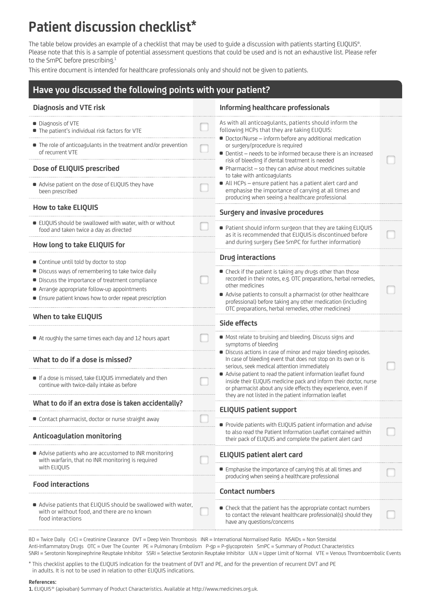# **Patient discussion checklist\***

The table below provides an example of a checklist that may be used to guide a discussion with patients starting ELIQUIS®. Please note that this is a sample of potential assessment questions that could be used and is not an exhaustive list. Please refer to the SmPC before prescribing.<sup>1</sup>

This entire document is intended for healthcare professionals only and should not be given to patients.

## **Have you discussed the following points with your patient?**

| <b>Diagnosis and VTE risk</b>                                                                                                     | Informing healthcare professionals                                                                                                                                                                                                                             |  |
|-----------------------------------------------------------------------------------------------------------------------------------|----------------------------------------------------------------------------------------------------------------------------------------------------------------------------------------------------------------------------------------------------------------|--|
| • Diagnosis of VTE                                                                                                                | As with all anticoagulants, patients should inform the                                                                                                                                                                                                         |  |
| • The patient's individual risk factors for VTE                                                                                   | following HCPs that they are taking ELIQUIS:                                                                                                                                                                                                                   |  |
| • The role of anticoagulants in the treatment and/or prevention<br>of recurrent VTE                                               | • Doctor/Nurse - inform before any additional medication<br>or surgery/procedure is required<br>• Dentist – needs to be informed because there is an increased                                                                                                 |  |
| Dose of ELIQUIS prescribed                                                                                                        | risk of bleeding if dental treatment is needed<br>• Pharmacist - so they can advise about medicines suitable<br>to take with anticoagulants                                                                                                                    |  |
| • Advise patient on the dose of ELIQUIS they have<br>been prescribed                                                              | All HCPs - ensure patient has a patient alert card and<br>emphasise the importance of carrying at all times and<br>producing when seeing a healthcare professional                                                                                             |  |
| <b>How to take ELIQUIS</b>                                                                                                        | Surgery and invasive procedures                                                                                                                                                                                                                                |  |
| ELIQUIS should be swallowed with water, with or without<br>food and taken twice a day as directed                                 | ■ Patient should inform surgeon that they are taking ELIQUIS<br>as it is recommended that ELIQUIS is discontinued before                                                                                                                                       |  |
| How long to take ELIQUIS for                                                                                                      | and during surgery (See SmPC for further information)                                                                                                                                                                                                          |  |
| • Continue until told by doctor to stop                                                                                           | Drug interactions                                                                                                                                                                                                                                              |  |
| • Discuss ways of remembering to take twice daily                                                                                 | • Check if the patient is taking any drugs other than those                                                                                                                                                                                                    |  |
| • Discuss the importance of treatment compliance                                                                                  | recorded in their notes, e.g. OTC preparations, herbal remedies,                                                                                                                                                                                               |  |
| Arrange appropriate follow-up appointments                                                                                        | other medicines                                                                                                                                                                                                                                                |  |
| • Ensure patient knows how to order repeat prescription                                                                           | • Advise patients to consult a pharmacist (or other healthcare<br>professional) before taking any other medication (including<br>OTC preparations, herbal remedies, other medicines)                                                                           |  |
| <b>When to take ELIQUIS</b>                                                                                                       | Side effects                                                                                                                                                                                                                                                   |  |
| At roughly the same times each day and 12 hours apart                                                                             | • Most relate to bruising and bleeding. Discuss signs and<br>symptoms of bleeding                                                                                                                                                                              |  |
| What to do if a dose is missed?                                                                                                   | • Discuss actions in case of minor and major bleeding episodes.<br>In case of bleeding event that does not stop on its own or is<br>serious, seek medical attention immediately                                                                                |  |
| If a dose is missed, take ELIQUIS immediately and then<br>continue with twice-daily intake as before                              | • Advise patient to read the patient information leaflet found<br>inside their ELIQUIS medicine pack and inform their doctor, nurse<br>or pharmacist about any side effects they experience, even if<br>they are not listed in the patient information leaflet |  |
| What to do if an extra dose is taken accidentally?                                                                                | <b>ELIQUIS patient support</b>                                                                                                                                                                                                                                 |  |
| • Contact pharmacist, doctor or nurse straight away                                                                               | • Provide patients with ELIQUIS patient information and advise                                                                                                                                                                                                 |  |
| <b>Anticoagulation monitoring</b>                                                                                                 | to also read the Patient Information Leaflet contained within<br>their pack of ELIQUIS and complete the patient alert card                                                                                                                                     |  |
| • Advise patients who are accustomed to INR monitoring<br>with warfarin, that no INR monitoring is required                       | <b>ELIQUIS patient alert card</b>                                                                                                                                                                                                                              |  |
| with ELIQUIS                                                                                                                      | • Emphasise the importance of carrying this at all times and<br>producing when seeing a healthcare professional                                                                                                                                                |  |
| <b>Food interactions</b>                                                                                                          | <b>Contact numbers</b>                                                                                                                                                                                                                                         |  |
| Advise patients that ELIQUIS should be swallowed with water,<br>with or without food, and there are no known<br>food interactions | • Check that the patient has the appropriate contact numbers<br>to contact the relevant healthcare professional(s) should they<br>have any questions/concerns                                                                                                  |  |

BD = Twice Daily CrCl = Creatinine Clearance DVT = Deep Vein Thrombosis INR = International Normalised Ratio NSAIDs = Non Steroidal Anti-Inflammatory Drugs OTC = Over The Counter PE = Pulmonary Embolism P-gp = P-glycoprotein SmPC = Summary of Product Characteristics SNRI = Serotonin Norepinephrine Reuptake Inhibitor SSRI = Selective Serotonin Reuptake Inhibitor ULN = Upper Limit of Normal VTE = Venous Thromboembolic Events

\* This checklist applies to the ELIQUIS indication for the treatment of DVT and PE, and for the prevention of recurrent DVT and PE in adults. It is not to be used in relation to other ELIQUIS indications.

#### **References:**

**1.** ELIQUIS® (apixaban) Summary of Product Characteristics. Available at http://www.medicines.org.uk.